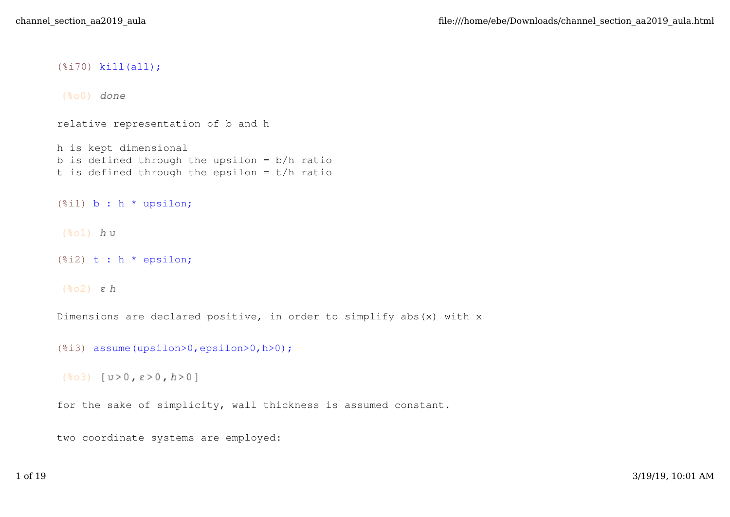(%i70) kill(all);

 $(*\circ 0)$  done

relative representation of b and h

h is kept dimensional b is defined through the upsilon  $= b/h$  ratio t is defined through the epsilon  $= t/h$  ratio

 $(\text{sin})$  b : h \* upsilon;

 $(*o1)$  hu

(%i2) t : h \* epsilon;

 $(*o2)$   $\varepsilon$   $h$ 

Dimensions are declared positive, in order to simplify abs(x) with x

(%i3) assume(upsilon>0,epsilon>0,h>0);

```
(803) [U>0, E>0, h>0]
```
for the sake of simplicity, wall thickness is assumed constant.

two coordinate systems are employed: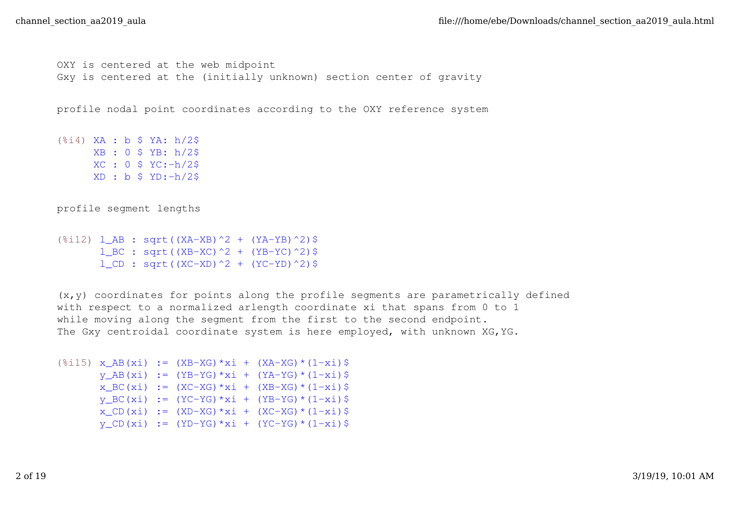```
OXY is centered at the web midpoint
Gxy is centered at the (initially unknown) section center of gravity
```
profile nodal point coordinates according to the OXY reference system

(%i4) XA : b \$ YA: h/2\$ XB : 0 \$ YB: h/2\$ XC : 0 \$ YC:-h/2\$  $XD : b $ YD:-h/2$$ 

profile segment lengths

(%i12) l\_AB : sqrt((XA-XB)^2 + (YA-YB)^2)\$ 1 BC : sqrt((XB-XC)^2 + (YB-YC)^2)\$  $l_C$ D : sqrt((XC-XD)^2 + (YC-YD)^2)\$

 $(x, y)$  coordinates for points along the profile segments are parametrically defined with respect to a normalized arlength coordinate xi that spans from 0 to 1 while moving along the segment from the first to the second endpoint. The Gxy centroidal coordinate system is here employed, with unknown XG,YG.

```
(\text{Si}15) x_AB(xi) := (XB-XG) *xi + (XA-XG) *(1-xi) $
      y AB(xi) := (YB-YG)*xi + (YA-YG)*(1-xi)$
       x\_BC(xi) := (XC-XG) * xi + (XB-XG) * (1-xi)y BC(xi) := (YC-YG)*xi + (YB-YG)*(1-xi)$
       x_CCD(xi) := (XD-XG) * xi + (XC-XG) * (1-xi)y CD(xi) := (YD-YG)*xi + (YC-YG)*(1-xi)$
```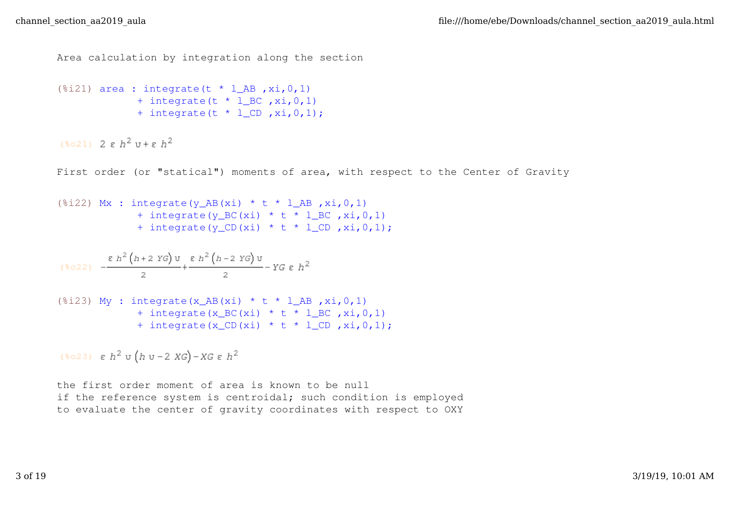```
Area calculation by integration along the section
```

```
(\text{Si21}) area : integrate(t * l_AB , xi, 0, 1)
               + integrate (t * 1<sub>BC</sub>, xi, 0, 1)+ integrate (t * 1 CD , xi, 0, 1);
```
 $(\frac{1}{2}021)$  2 g  $h^2$  u + g  $h^2$ 

First order (or "statical") moments of area, with respect to the Center of Gravity

```
(*i22) Mx : integrate(y_AB(xi) * t * l_AB , xi, 0, 1)
             + integrate(y_BC(xi) * t * 1_BC, xi, 0, 1)
             + integrate(y_CD(xi) * t * l_CD ,xi,0,1);
```

$$
(\text{mod }2) \quad -\frac{\epsilon \ h^2 \left(h+2 \ Y G \right) \upsilon}{2} + \frac{\epsilon \ h^2 \left(h-2 \ Y G \right) \upsilon}{2} - Y G \ \epsilon \ h^2
$$

$$
(\text{%i23}) \text{ My : integrate(x_AB(xi) * t * l_AB, xi, 0, 1) \n + integrate(x_BC(xi) * t * l_BC, xi, 0, 1) \n + integrate(x_CD(xi) * t * l_CD, xi, 0, 1);
$$

(\*023)  $\varepsilon$   $h^2$  v  $(h$  v - 2  $XG$ ) -  $XG$   $\varepsilon$   $h^2$ 

the first order moment of area is known to be null if the reference system is centroidal; such condition is employed to evaluate the center of gravity coordinates with respect to OXY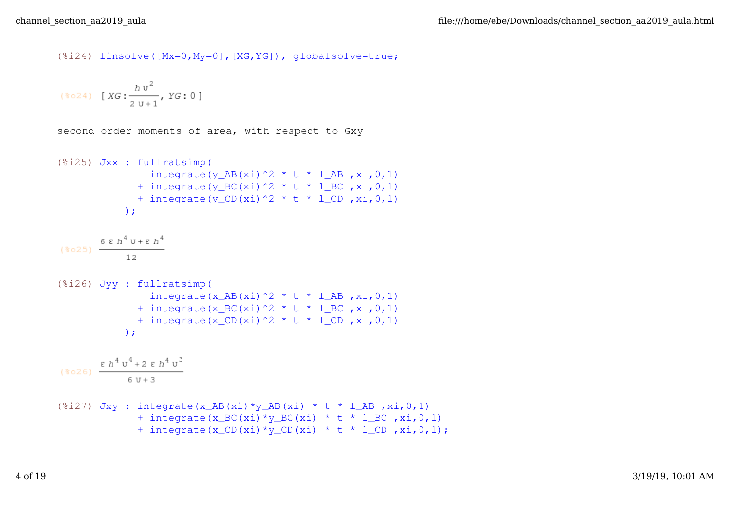(%i24) linsolve([Mx=0,My=0],[XG,YG]), globalsolve=true;

$$
(*\circ 24) \quad [XG:\frac{h\,\nu^2}{2\,\nu+1}, YG:0]
$$

second order moments of area, with respect to Gxy

(%i25) Jxx : fullratsimp( integrate(y\_AB(xi)^2 \* t \* l\_AB ,xi,0,1) + integrate(y\_BC(xi)^2 \* t \* l\_BC ,xi,0,1) + integrate(y\_CD(xi)^2 \* t \* l\_CD ,xi,0,1) ); (%i26) Jyy : fullratsimp( integrate(x\_AB(xi)^2 \* t \* l\_AB ,xi,0,1) + integrate(x\_BC(xi)^2 \* t \* l\_BC ,xi,0,1) + integrate(x\_CD(xi)^2 \* t \* l\_CD ,xi,0,1) ); (%i27) Jxy : integrate(x\_AB(xi)\*y\_AB(xi) \* t \* l\_AB ,xi,0,1) + integrate(x\_BC(xi)\*y\_BC(xi) \* t \* l\_BC ,xi,0,1) + integrate(x\_CD(xi)\*y\_CD(xi) \* t \* l\_CD ,xi,0,1);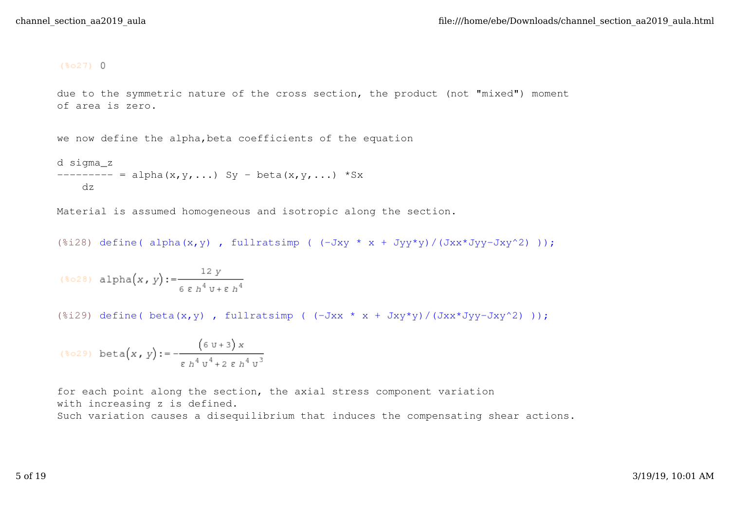## $(*027)$  0

due to the symmetric nature of the cross section, the product (not "mixed") moment of area is zero.

we now define the alpha,beta coefficients of the equation

```
d sigma_z
------ = \text{alpha}(x,y,...) Sy - beta(x,y,...) *Sx
     dz
```
Material is assumed homogeneous and isotropic along the section.

(%i28) define( alpha(x,y), fullratsimp (  $(-Jxy * x + Jyy*y)/(Jxx*Jyy-Jxy^2) )$ ;

$$
(\text{mod } x\,,\,y):=\frac{12\;y}{6\;\epsilon\;h^4\,v+\epsilon\;h^4}
$$

(%i29) define(  $beta(x,y)$ , fullratsimp (  $(-Jxx * x + Jxy*y)/(Jxx*Jyy-Jxy^2)$  ));

$$
(*029) \text{ beta}(x, y) := -\frac{(6 \text{ u}+3) x}{\epsilon h^4 u^4 + 2 \epsilon h^4 u^3}
$$

for each point along the section, the axial stress component variation with increasing z is defined. Such variation causes a disequilibrium that induces the compensating shear actions.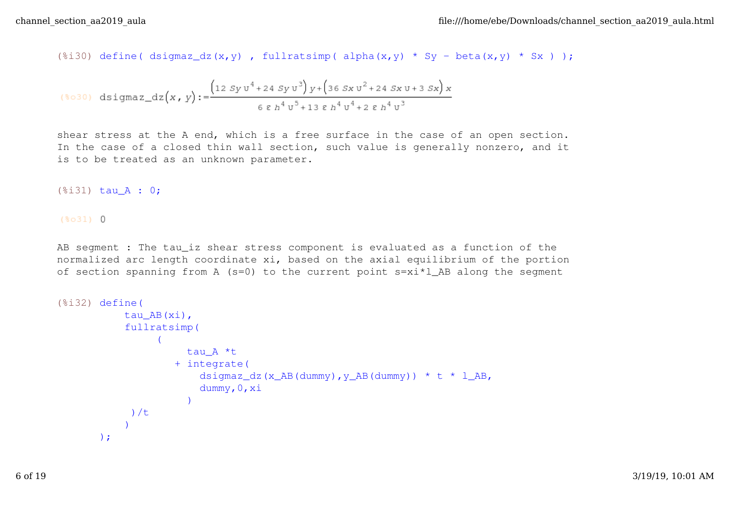(%i30) define( dsigmaz\_dz(x,y), fullratsimp( alpha(x,y) \* Sy - beta(x,y) \* Sx ));

$$
(\text{mod } 0) \text{ disigma}_\text{1} \text{dz}(x, y) := \frac{\left(12 \text{ S} y \text{ u}^4 + 24 \text{ S} y \text{ u}^3\right) y + \left(36 \text{ S} x \text{ u}^2 + 24 \text{ S} x \text{ u} + 3 \text{ S} x\right) x}{6 \epsilon h^4 v^5 + 13 \epsilon h^4 v^4 + 2 \epsilon h^4 v^3}
$$

shear stress at the A end, which is a free surface in the case of an open section. In the case of a closed thin wall section, such value is generally nonzero, and it is to be treated as an unknown parameter.

(%i31) tau\_A : 0;

 $(*031) 0$ 

AB segment : The tau\_iz shear stress component is evaluated as a function of the normalized arc length coordinate xi, based on the axial equilibrium of the portion of section spanning from A (s=0) to the current point  $s=xi*1$  AB along the segment

```
(%i32) define(
             tau_AB(xi),
             fullratsimp(
        \overline{\mathcal{L}} tau_A *t
                       + integrate(
                          dsigmaz_dz(x_AB(dummy), y_AB(dummy)) * t * l_AB,
                           dummy,0,xi
         )
              )/t
        \overline{\phantom{a}});
```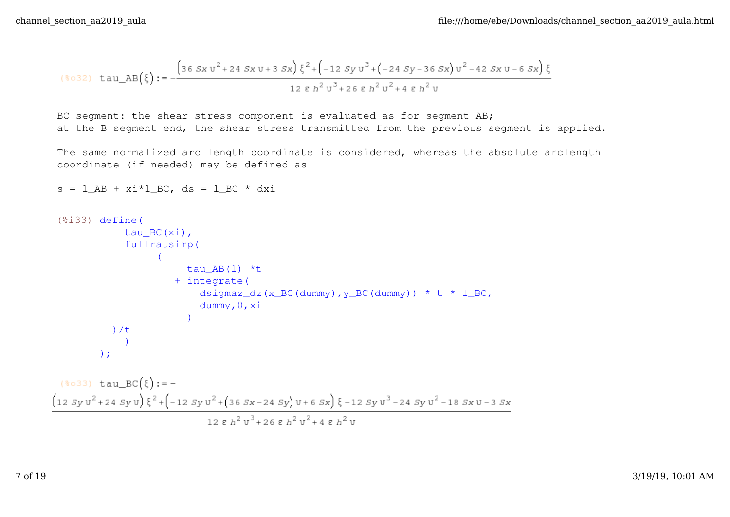$s = 1$  AB + xi\*l BC, ds = l BC \* dxi

$$
(\text{8032}) \ \ \text{tau} \ \ \text{and} \ \ \text{AB}(\xi) := -\frac{\left(36 \, Sx \, \text{u}^2 + 24 \, Sx \, \text{u} + 3 \, Sx\right) \xi^2 + \left(-12 \, Sy \, \text{u}^3 + \left(-24 \, Sy - 36 \, Sx\right) \text{u}^2 - 42 \, Sx \, \text{u} - 6 \, Sx\right) \xi}{12 \, \epsilon \, h^2 \, \text{u}^3 + 26 \, \epsilon \, h^2 \, \text{u}^2 + 4 \, \epsilon \, h^2 \, \text{u}}
$$

BC segment: the shear stress component is evaluated as for segment AB; at the B segment end, the shear stress transmitted from the previous segment is applied.

The same normalized arc length coordinate is considered, whereas the absolute arclength coordinate (if needed) may be defined as

```
(%i33) define(
                         tau_BC(xi),
                         fullratsimp(
                \overline{\mathcal{L}}tau AB(1) *t
                                          + integrate(
                                                 dsigmaz_dz(x_BC(dummy), y_BC(dummy)) * t * l_BC,
                                                  dummy,0,xi
                 )
                    )/t
                \overline{\phantom{a}});
  (\so33) tau_BC(\sist):=-
\left(12\;Sy\,{\mathtt{u}}^{2}+24\;Sy\,{\mathtt{u}}\right)\,\xi^{2}+\left(-12\;Sy\,{\mathtt{u}}^{2}+\left(36\;Sx-24\;Sy\right){\mathtt{u}}+6\;Sx\right)\,\xi\\ -12\;Sy\,{\mathtt{u}}^{3}-24\;Sy\,{\mathtt{u}}^{2}-18\;Sx\,{\mathtt{u}}-3\;Sx\,{\mathtt{u}}^{2}-24\;Sx\,{\mathtt{u}}^{3}-24\;Sx\,{\mathtt{u}}^{3}-24\;Sx\,{\mathtt{u}}^{3}-24\12 ε h^2 v^3 + 26 ε h^2 v^2 + 4 ε h^2 v
```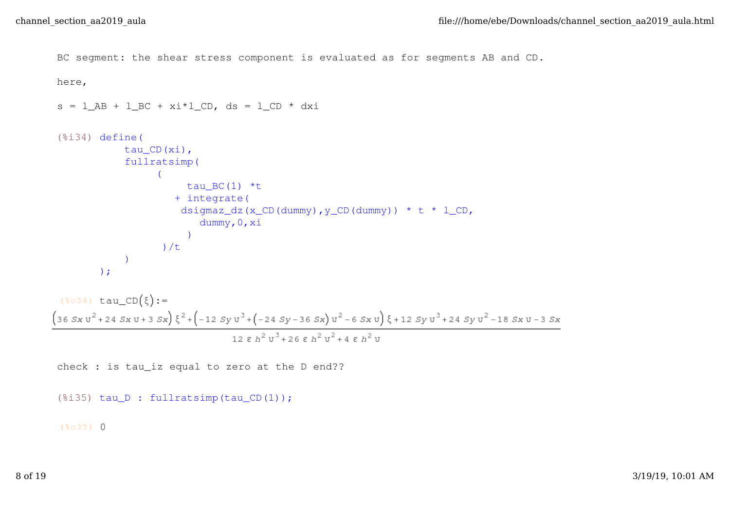```
BC segment: the shear stress component is evaluated as for segments AB and CD.
here,
s = 1 AB + 1 BC + xi * 1 CD, ds = 1 CD * dx i(%i34) define(
                 tau CD(xi),
                  fullratsimp(
            \overline{\mathcal{L}}tau BC(1) *t
                               + integrate(
                                dsigmaz_dz(x_CD(dummy), y_CD(dummy)) * t * l_CD,
                                      dummy,0,xi
             )
                            )/t
            \overline{\phantom{a}});
 (*\circ34) tau_CD(\xi):=\left(3\,6\,Sx\,{\rm u}^2+2\,4\,Sx\,{\rm u}+3\,Sx\right)\,\xi^{\,2}+\left(-1\,2\,Sy\,{\rm u}^{\,3}+\left(-2\,4\,Sy-3\,6\,Sx\right)\,{\rm u}^{\,2}-6\,Sx\,{\rm u}\right)\,\xi+1\,2\,Sy\,{\rm u}^{\,3}+2\,4\,Sy\,{\rm u}^{\,2}-1\,8\,Sx\,{\rm u}-3\,Sx\,{\rm u}^{\,3}128h^2 \text{U}^3 + 26 8 h^2 \text{U}^2 + 4 8 h^2 \text{U}
```

```
check : is tau_iz equal to zero at the D end??
```

```
(%i35) tau_D : fullratsimp(tau_CD(1));
```
 $(*035) 0$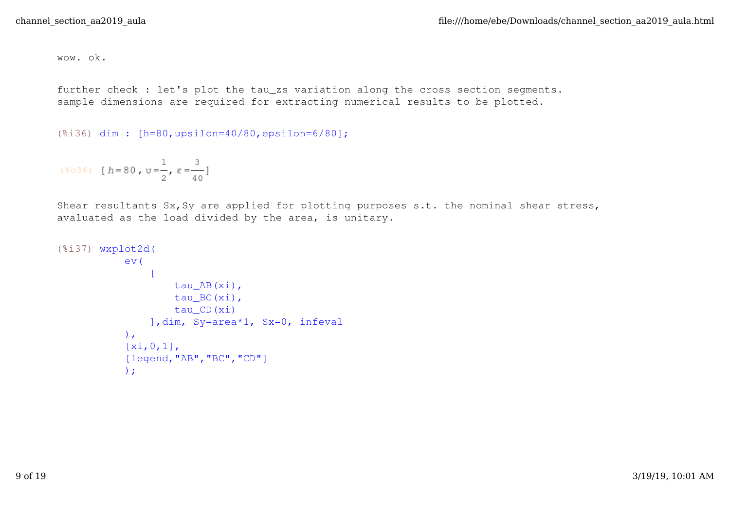wow. ok.

further check : let's plot the tau\_zs variation along the cross section segments. sample dimensions are required for extracting numerical results to be plotted.

```
(%i36) dim : [h=80,upsilon=40/80,epsilon=6/80];
```

```
($036) [h = 80, v = \frac{1}{2}, \varepsilon = \frac{3}{40}]
```
Shear resultants Sx, Sy are applied for plotting purposes s.t. the nominal shear stress, avaluated as the load divided by the area, is unitary.

```
(%i37) wxplot2d(
              ev(
        \mathbb{R}^n and \mathbb{R}^n tau_AB(xi),
                        tau_BC(xi),
                        tau_CD(xi)
                   ],dim, Sy=area*1, Sx=0, infeval
              ),
             [xi, 0, 1],
              [legend,"AB","BC","CD"]
              );
```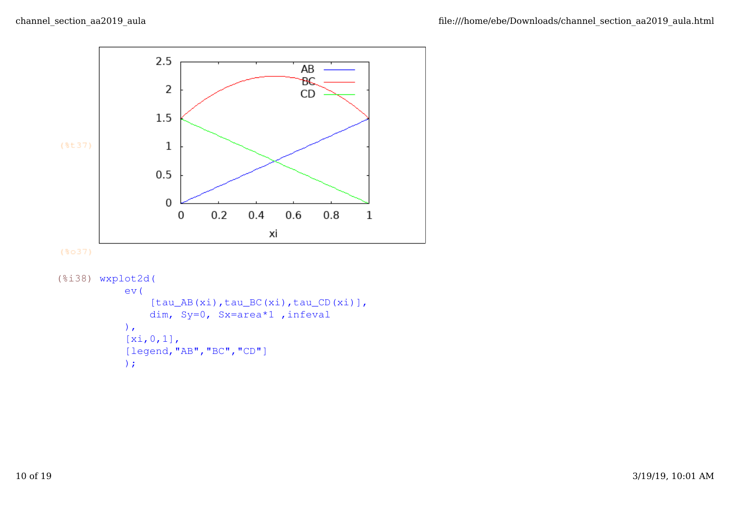

```
(*037)
```

```
(%i38) wxplot2d(
            ev(
                [tau_AB(xi),tau_BC(xi),tau_CD(xi)],
                dim, Sy=0, Sx=area*1 ,infeval
            ),
            [xi,0,1],
            [legend,"AB","BC","CD"]
            );
```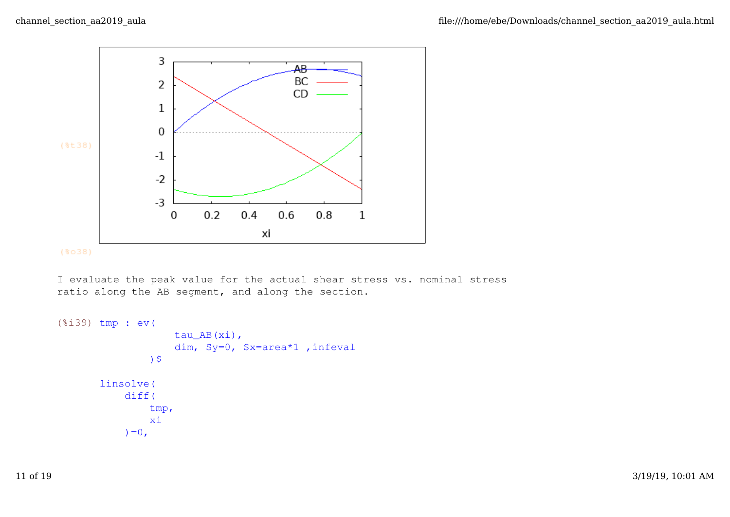



I evaluate the peak value for the actual shear stress vs. nominal stress ratio along the AB segment, and along the section.

```
(%i39) tmp : ev(
                     tau_AB(xi),
                     dim, Sy=0, Sx=area*1 ,infeval
                 )$
       linsolve(
            diff(
                 tmp,
                 xi
           ) = 0,
```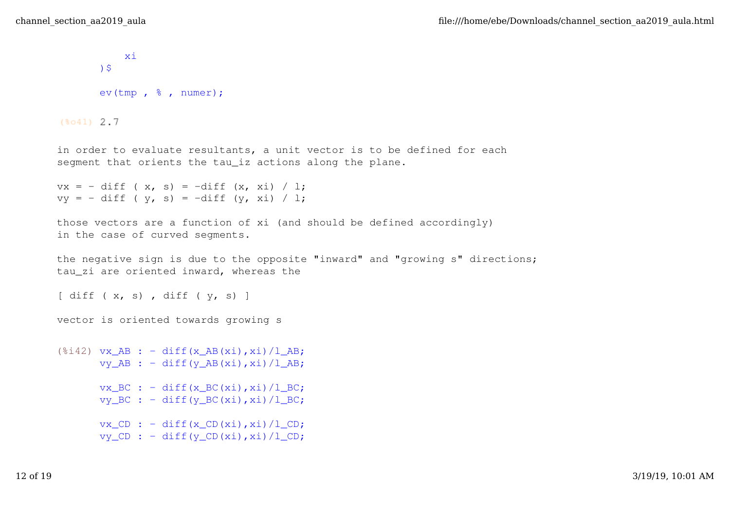```
 xi
       )$
       ev(tmp , % , numer);
(*041) 2.7
in order to evaluate resultants, a unit vector is to be defined for each
segment that orients the tau_iz actions along the plane.
vx = - diff (x, s) = -diff (x, xi) / l;vy = - diff (y, s) = -diff (y, xi) / l;those vectors are a function of xi (and should be defined accordingly)
in the case of curved segments.
the negative sign is due to the opposite "inward" and "growing s" directions;
tau_zi are oriented inward, whereas the
\left[\right] diff ( x, s), diff ( y, s) ]
vector is oriented towards growing s
(\text{Si42}) vx AB : - diff(x AB(xi),xi)/l AB;
      vy\_AB : - diff(y\_AB(xi),xi)/l_AB;
      vx_BC : - diff(x_BC(xi),xi)/l_BC;
      vy\_BC : - diff(y\_BC(xi), xi)/1\_BC;
       vx\_CD : - diff(xCD(xi),xi)/1CD;vy CD : - diff(y_CD(xi),xi)/l_CD;
```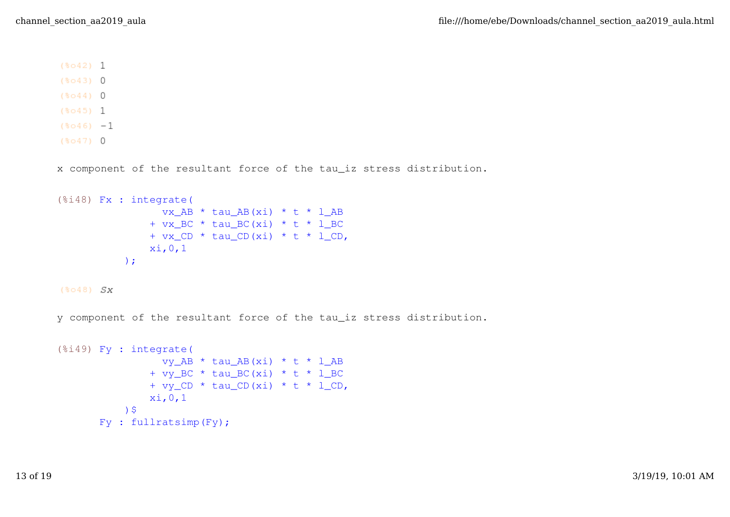```
(*042) 1
```
 $(*043)$  0

- $(8044)$  0
- $(8045)$  1
- $(*046) -1$
- $(*047)$  0

x component of the resultant force of the tau\_iz stress distribution.

```
(%i48) Fx : integrate(
                vx_AB * tau_AB(xi) * t * l_AB
              + vx BC * tau BC(xi) * t * l BC
              + vx_CD * tau_CD(xi) * t * l_CD,
               xi,0,1
           );
```
 $(8048)$   $S_X$ 

y component of the resultant force of the tau\_iz stress distribution.

```
(%i49) Fy : integrate(
                 vy_AB * tau_AB(xi) * t * l_AB
               + vy_BC * tau_BC(xi) * t * 1_BC
                + vy_CD * tau_CD(xi) * t * l_CD,
                xi,0,1
            )$
      Fy : fullratsimp(Fy);
```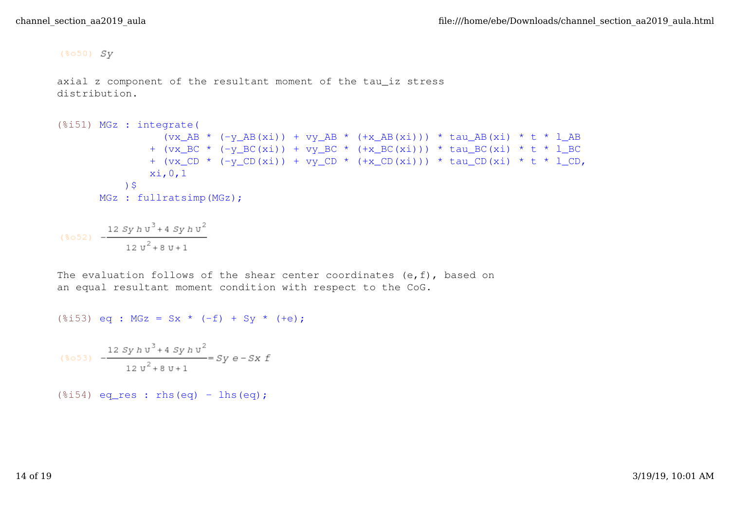$(*050)$  Sy

```
axial z component of the resultant moment of the tau_iz stress
distribution.
```

```
(%i51) MGz : integrate(
                (vx AB * (-y AB(xi)) + vy AB * (+x AB(xi))) * tau AB(xi) * t * l AB
               + (vx\_BC * (-y\_BC(xi)) + vy\_BC * (+x\_BC(xi))) * tau\_BC(xi) * t * 1\_BC+ (vx CD * (-y CD(xi)) + vy CD * (+x CD(xi))) * tau CD(xi) * t * l CD,
                xi,0,1
            )$
      MGz : fullratsimp(MGz);
```

```
(%052) -\frac{12 \, Sy \, h \, \mathrm{u}^3 + 4 \, Sy \, h \, \mathrm{u}^2}{12 \, \mathrm{u}^2 + 8 \, \mathrm{u} + 1}
```
The evaluation follows of the shear center coordinates (e, f), based on an equal resultant moment condition with respect to the CoG.

```
(\frac{1}{2}53) eq : MGz = Sx * (-f) + Sy * (+e);
```

$$
(*{\circ}53) \quad -\frac{12 \, Sy \, h \, v^3 + 4 \, Sy \, h \, v^2}{12 \, v^2 + 8 \, v + 1} = Sy \, e - Sx \, f
$$

 $(\text{$i54}$) eq-res : rhs(eq) - lhs(eq);$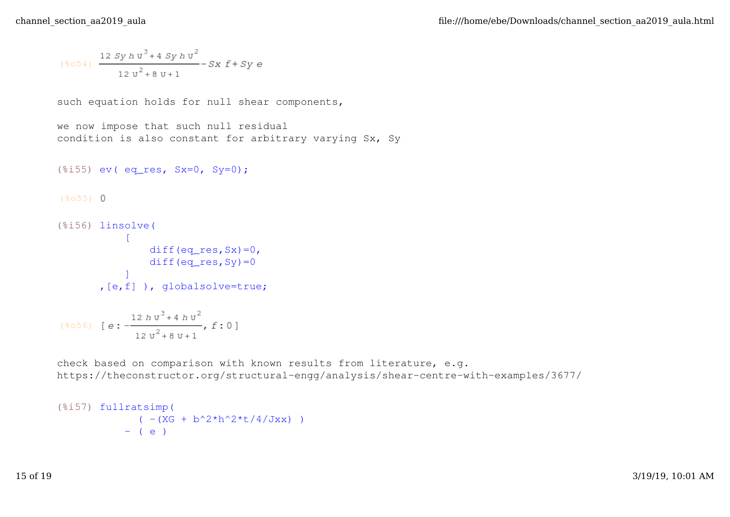$$
(\text{8o54}) \frac{12 \, Sy \, h \, v^3 + 4 \, Sy \, h \, v^2}{12 \, v^2 + 8 \, v + 1} - Sx \, f + Sy \, e
$$

such equation holds for null shear components,

```
we now impose that such null residual
condition is also constant for arbitrary varying Sx, Sy
```

```
(*i55) ev( eq res, Sx=0, Sy=0);
```
 $(*055) 0$ 

```
(%i56) linsolve(
        Control
              diff(eq\_res, Sx)=0,
             diff(eq res, Sy) = 0
           ]
       ,[e,f] ), globalsolve=true;
```
(\$056) [ $e: -\frac{12 h v^3 + 4 h v^2}{12 v^2 + 8 v + 1}$ ,  $f: 0$ ]

check based on comparison with known results from literature, e.g. https://theconstructor.org/structural-engg/analysis/shear-centre-with-examples/3677/

```
(%i57) fullratsimp(
                 ( - (XG + b^2 \cdot 2 \cdot h^2 \cdot t / 4 / Jxx) )- ( e )
```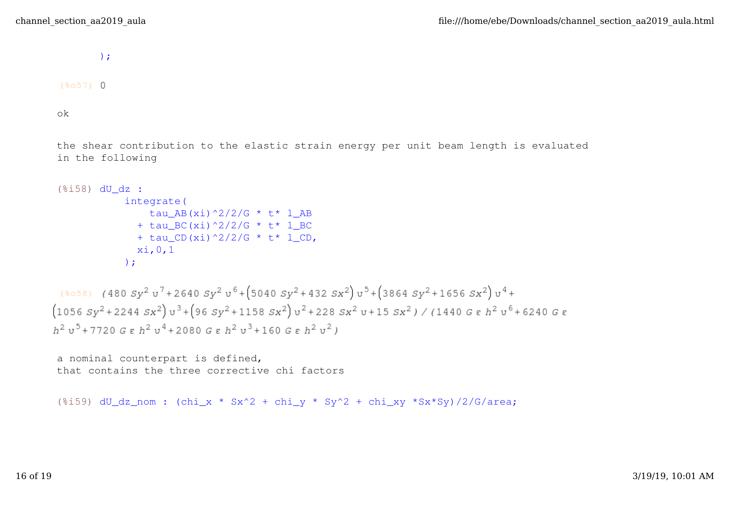);

 $(8057)$  0

ok

the shear contribution to the elastic strain energy per unit beam length is evaluated in the following

```
(%i58) dU_dz :
            integrate(
              tau AB(xi)^2/2/G * t* l AB
             + tau BC(xi)^2/2/G * t* 1 BC
             + tau CD(xi)^2/2/G * t * 1 CD,
             xi,0,1
            );
```

```
(3058) (480 Sy^2 v^7 + 2640 Sy^2 v^6 + (5040 Sy^2 + 432 Sx^2) v^5 + (3864 Sy^2 + 1656 Sx^2) v^4 +(1056 Sy^2 + 2244 Sx^2) v^3 + (96 Sy^2 + 1158 Sx^2) v^2 + 228 Sx^2 v + 15 Sx^2) / (1440 G \epsilon h^2 v^6 + 6240 G \epsilonh^2 u^5+7720 G \varepsilon h^2 u^4+2080 G \varepsilon h^2 u^3+160 G \varepsilon h^2 u^2)
```
a nominal counterpart is defined, that contains the three corrective chi factors

(%i59) dU dz\_nom : (chi\_x \* Sx^2 + chi\_v \* Sy^2 + chi\_xy \*Sx\*Sy)/2/G/area;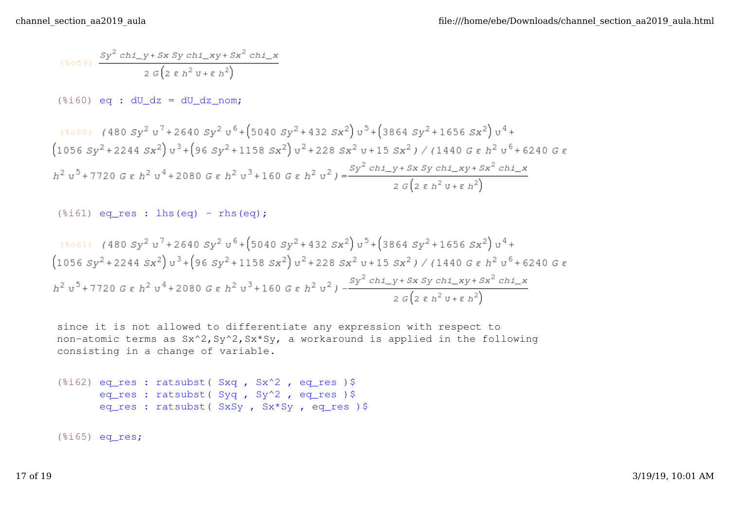$$
\stackrel{\text{\rm{(*)}}}{=} \frac{Sy^2 \, chi\_y + Sx \, Sy \, chi\_xy + Sx^2 \, chi\_x}{2 \, G \left(2 \, \epsilon \, h^2 \, \texttt{U} + \epsilon \, h^2\right)}
$$

 $(\text{\textdegree} i60)$  eq : dU dz = dU dz nom;

$$
\begin{aligned}\n &\text{(8060)} \quad \text{(480 Sy}^2 \, \text{u}^7 + 2640 \, \text{Sy}^2 \, \text{u}^6 + \left(5040 \, \text{Sy}^2 + 432 \, \text{Sx}^2\right) \text{u}^5 + \left(3864 \, \text{Sy}^2 + 1656 \, \text{Sx}^2\right) \text{u}^4 + \\
 &\text{(1056 Sy}^2 + 2244 \, \text{Sx}^2) \, \text{u}^3 + \left(96 \, \text{Sy}^2 + 1158 \, \text{Sx}^2\right) \text{u}^2 + 228 \, \text{Sx}^2 \, \text{u} + 15 \, \text{Sx}^2) \, \text{/} \, (1440 \, \text{G} \, \varepsilon \, h^2 \, \text{u}^5 + 6240 \, \text{G} \, \varepsilon \\
 &\text{h}^2 \, \text{u}^5 + 7720 \, \text{G} \, \varepsilon \, h^2 \, \text{u}^4 + 2080 \, \text{G} \, \varepsilon \, h^2 \, \text{u}^3 + 160 \, \text{G} \, \varepsilon \, h^2 \, \text{u}^2) = \frac{S \, \text{y}^2 \, \text{c} \, \text{h} \, \text{1}_y + S \, \text{x} \, \text{S} \, \text{y} \, \text{c} \, \text{h} \, \text{1}_x \, \text{y} + S \, \text{x}^2 \, \text{c} \, \text{h} \, \text{1}_x \, \text{y} + S \, \text{x}^2 \, \text{c} \, \text{h} \, \text{1}_x \\
 &\text{2} \, \text{G} \left(2 \, \varepsilon \, h^2 \, \text{u} + \varepsilon \, h^2\right)\n \end{aligned}
$$

```
(\text{$i$}161) eq_res : lhs(eq) - rhs(eq);
```

$$
\begin{array}{l}\n(8061) \quad (480 \, Sy^2 \, \text{u}^7 + 2640 \, Sy^2 \, \text{u}^6 + (5040 \, Sy^2 + 432 \, Sx^2) \, \text{u}^5 + (3864 \, Sy^2 + 1656 \, Sx^2) \, \text{u}^4 + \\
(1056 \, Sy^2 + 2244 \, Sx^2) \, \text{u}^3 + (96 \, Sy^2 + 1158 \, Sx^2) \, \text{u}^2 + 228 \, Sx^2 \, \text{u} + 15 \, Sx^2) \;/ \; (1440 \, G \, \varepsilon \, h^2 \, \text{u}^5 + 6240 \, G \, \varepsilon \\
h^2 \, \text{u}^5 + 7720 \, G \, \varepsilon \, h^2 \, \text{u}^4 + 2080 \, G \, \varepsilon \, h^2 \, \text{u}^3 + 160 \, G \, \varepsilon \, h^2 \, \text{u}^2) \, - \frac{Sy^2 \, ch \, \text{u} \, y + Sx \, Sy \, ch \, \text{u} \, xy + Sx^2 \, ch \, \text{u} \, xy + Sx^2 \, ch \, \text{u} \, xy + Sx^2 \, ch \, \text{u} \, xy + Sx^2 \, ch \, \text{u} \, xy + Sx^2 \, ch \, \text{u} \, xy + Sx^2 \, ch \, \text{u} \, xy + Sx^2 \, ch \, \text{u} \, xy + Sx^2 \, ch \, \text{u} \, xy + Sx^2 \, ch \, \text{u} \, xy + Sx^2 \, ch \, \text{u} \, xy + Sx^2 \, ch \, \text{u} \, xy + Sx^2 \, ch \, \text{u} \, xy + Sx^2 \, ch \, \text{u} \, xy + Sx^2 \, ch \, \text{u} \, xy + Sx^2 \, ch \, \text{u} \, xy + Sx^2 \, ch \, \text{u} \, xy + Sx^2 \, ch \, \text{u} \, xy + Sx^2 \, ch \, \text{u} \, xy + Sx^2 \, ch \, \text{u} \, xy + Sx^2 \, ch \, \text{u} \,
$$

since it is not allowed to differentiate any expression with respect to non-atomic terms as Sx^2,Sy^2,Sx\*Sy, a workaround is applied in the following consisting in a change of variable.

```
(%i62) eq_res : ratsubst( Sxq , Sx^2 , eq_res )$
      eq_res : ratsubst ( Syq , Sy^2 , eq_res ) $
      eq_res : ratsubst( SxSy , Sx*Sy , eq_res )$
```
(%i65) eq\_res;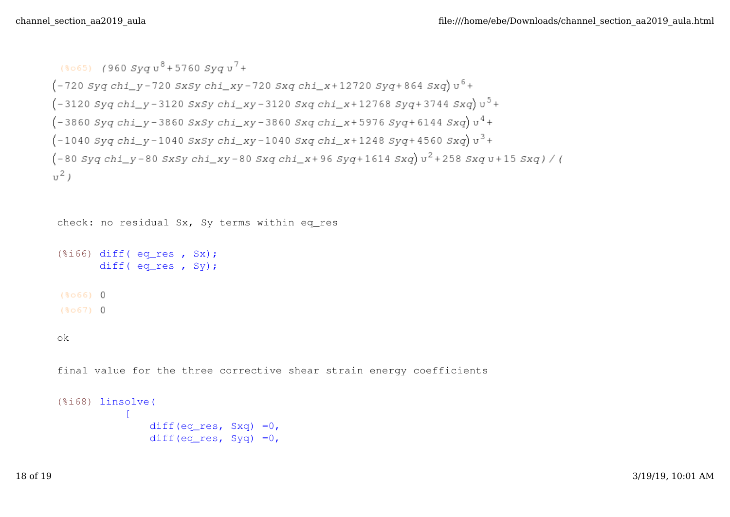```
(8065) (960 Svau<sup>8</sup>+5760 Svau<sup>7</sup>+
(-720 Syq chi y - 720 SxSy chi xy - 720 Sxq chi x + 12720 Syq + 864 Sxq) v<sup>6</sup> +(-3120 Syq chi_y - 3120 SxSy chi_xy - 3120 Sxq chi_x + 12768 Syq + 3744 Sxq)v<sup>5</sup> +(-3860 Syq chi_y - 3860 SxSy chi_xy - 3860 Sxq chi_x + 5976 Syq + 6144 Sxq)v<sup>4</sup> +(-1040 Syq chi_y - 1040 SxSy chi_xy - 1040 Sxq chi_x + 1248 Syq + 4560 Sxq)v<sup>3</sup> +(-80 Syq chi y-80 SxSy chi xy-80 Sxq chi x+96 Syq+1614 Sxq) v<sup>2</sup>+258 Sxq v+15 Sxq)/(
\overline{u^2}
```
check: no residual Sx, Sy terms within eq\_res

```
(\text{\textdegree} i66) diff( eq_res, Sx);
        diff( eq_res , Sy);
(8066) 0
(8067) 0
```
ok

final value for the three corrective shear strain energy coefficients

```
(%i68) linsolve(
       \Boxdiff(eq_res, Sxq) =0,
              diff(eq res, Syq) =0,
```